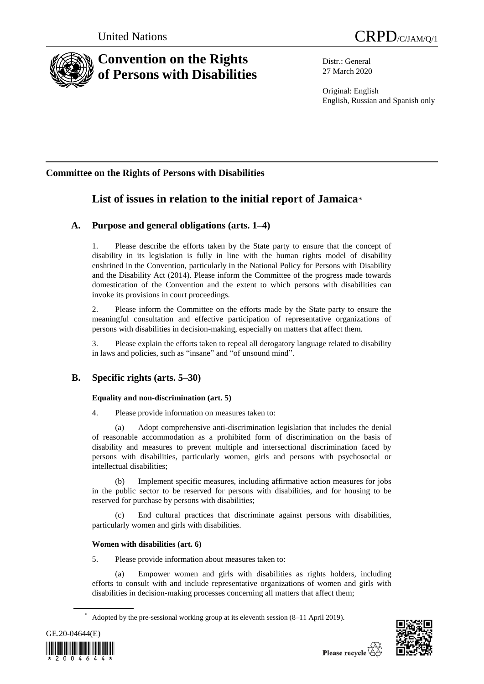



# **Convention on the Rights of Persons with Disabilities**

Distr.: General 27 March 2020

Original: English English, Russian and Spanish only

# **Committee on the Rights of Persons with Disabilities**

# **List of issues in relation to the initial report of Jamaica**\*

# **A. Purpose and general obligations (arts. 1–4)**

1. Please describe the efforts taken by the State party to ensure that the concept of disability in its legislation is fully in line with the human rights model of disability enshrined in the Convention, particularly in the National Policy for Persons with Disability and the Disability Act (2014). Please inform the Committee of the progress made towards domestication of the Convention and the extent to which persons with disabilities can invoke its provisions in court proceedings.

2. Please inform the Committee on the efforts made by the State party to ensure the meaningful consultation and effective participation of representative organizations of persons with disabilities in decision-making, especially on matters that affect them.

3. Please explain the efforts taken to repeal all derogatory language related to disability in laws and policies, such as "insane" and "of unsound mind".

# **B. Specific rights (arts. 5–30)**

# **Equality and non-discrimination (art. 5)**

4. Please provide information on measures taken to:

(a) Adopt comprehensive anti-discrimination legislation that includes the denial of reasonable accommodation as a prohibited form of discrimination on the basis of disability and measures to prevent multiple and intersectional discrimination faced by persons with disabilities, particularly women, girls and persons with psychosocial or intellectual disabilities;

(b) Implement specific measures, including affirmative action measures for jobs in the public sector to be reserved for persons with disabilities, and for housing to be reserved for purchase by persons with disabilities;

(c) End cultural practices that discriminate against persons with disabilities, particularly women and girls with disabilities.

# **Women with disabilities (art. 6)**

5. Please provide information about measures taken to:

(a) Empower women and girls with disabilities as rights holders, including efforts to consult with and include representative organizations of women and girls with disabilities in decision-making processes concerning all matters that affect them;

Adopted by the pre-sessional working group at its eleventh session (8–11 April 2019).



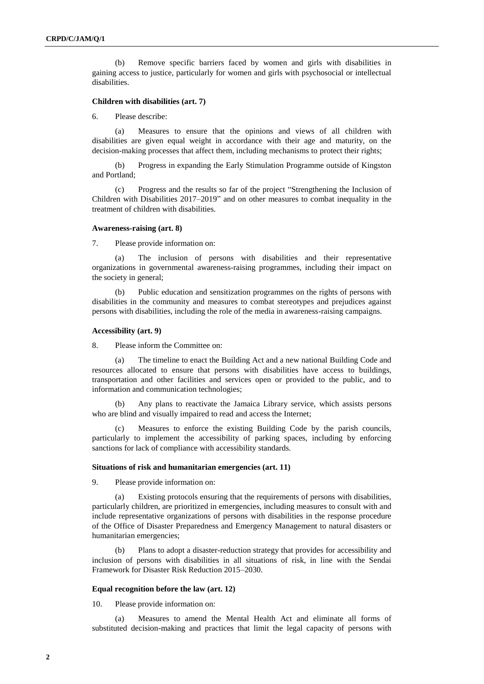(b) Remove specific barriers faced by women and girls with disabilities in gaining access to justice, particularly for women and girls with psychosocial or intellectual disabilities.

## **Children with disabilities (art. 7)**

6. Please describe:

(a) Measures to ensure that the opinions and views of all children with disabilities are given equal weight in accordance with their age and maturity, on the decision-making processes that affect them, including mechanisms to protect their rights;

(b) Progress in expanding the Early Stimulation Programme outside of Kingston and Portland;

(c) Progress and the results so far of the project "Strengthening the Inclusion of Children with Disabilities 2017–2019" and on other measures to combat inequality in the treatment of children with disabilities.

# **Awareness-raising (art. 8)**

7. Please provide information on:

(a) The inclusion of persons with disabilities and their representative organizations in governmental awareness-raising programmes, including their impact on the society in general;

(b) Public education and sensitization programmes on the rights of persons with disabilities in the community and measures to combat stereotypes and prejudices against persons with disabilities, including the role of the media in awareness-raising campaigns.

#### **Accessibility (art. 9)**

8. Please inform the Committee on:

(a) The timeline to enact the Building Act and a new national Building Code and resources allocated to ensure that persons with disabilities have access to buildings, transportation and other facilities and services open or provided to the public, and to information and communication technologies;

(b) Any plans to reactivate the Jamaica Library service, which assists persons who are blind and visually impaired to read and access the Internet;

(c) Measures to enforce the existing Building Code by the parish councils, particularly to implement the accessibility of parking spaces, including by enforcing sanctions for lack of compliance with accessibility standards.

#### **Situations of risk and humanitarian emergencies (art. 11)**

9. Please provide information on:

(a) Existing protocols ensuring that the requirements of persons with disabilities, particularly children, are prioritized in emergencies, including measures to consult with and include representative organizations of persons with disabilities in the response procedure of the Office of Disaster Preparedness and Emergency Management to natural disasters or humanitarian emergencies;

(b) Plans to adopt a disaster-reduction strategy that provides for accessibility and inclusion of persons with disabilities in all situations of risk, in line with the Sendai Framework for Disaster Risk Reduction 2015–2030.

#### **Equal recognition before the law (art. 12)**

10. Please provide information on:

(a) Measures to amend the Mental Health Act and eliminate all forms of substituted decision-making and practices that limit the legal capacity of persons with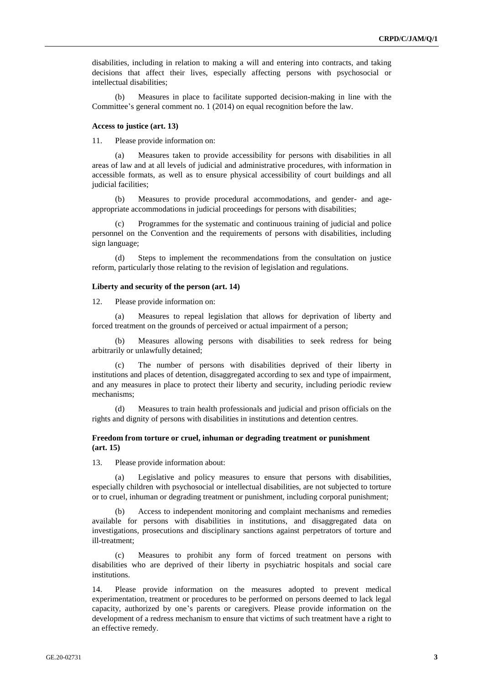disabilities, including in relation to making a will and entering into contracts, and taking decisions that affect their lives, especially affecting persons with psychosocial or intellectual disabilities;

(b) Measures in place to facilitate supported decision-making in line with the Committee's general comment no. 1 (2014) on equal recognition before the law.

#### **Access to justice (art. 13)**

11. Please provide information on:

(a) Measures taken to provide accessibility for persons with disabilities in all areas of law and at all levels of judicial and administrative procedures, with information in accessible formats, as well as to ensure physical accessibility of court buildings and all judicial facilities;

(b) Measures to provide procedural accommodations, and gender- and ageappropriate accommodations in judicial proceedings for persons with disabilities;

(c) Programmes for the systematic and continuous training of judicial and police personnel on the Convention and the requirements of persons with disabilities, including sign language;

(d) Steps to implement the recommendations from the consultation on justice reform, particularly those relating to the revision of legislation and regulations.

#### **Liberty and security of the person (art. 14)**

12. Please provide information on:

(a) Measures to repeal legislation that allows for deprivation of liberty and forced treatment on the grounds of perceived or actual impairment of a person;

(b) Measures allowing persons with disabilities to seek redress for being arbitrarily or unlawfully detained;

(c) The number of persons with disabilities deprived of their liberty in institutions and places of detention, disaggregated according to sex and type of impairment, and any measures in place to protect their liberty and security, including periodic review mechanisms;

(d) Measures to train health professionals and judicial and prison officials on the rights and dignity of persons with disabilities in institutions and detention centres.

# **Freedom from torture or cruel, inhuman or degrading treatment or punishment (art. 15)**

13. Please provide information about:

(a) Legislative and policy measures to ensure that persons with disabilities, especially children with psychosocial or intellectual disabilities, are not subjected to torture or to cruel, inhuman or degrading treatment or punishment, including corporal punishment;

(b) Access to independent monitoring and complaint mechanisms and remedies available for persons with disabilities in institutions, and disaggregated data on investigations, prosecutions and disciplinary sanctions against perpetrators of torture and ill-treatment;

(c) Measures to prohibit any form of forced treatment on persons with disabilities who are deprived of their liberty in psychiatric hospitals and social care institutions.

14. Please provide information on the measures adopted to prevent medical experimentation, treatment or procedures to be performed on persons deemed to lack legal capacity, authorized by one's parents or caregivers. Please provide information on the development of a redress mechanism to ensure that victims of such treatment have a right to an effective remedy.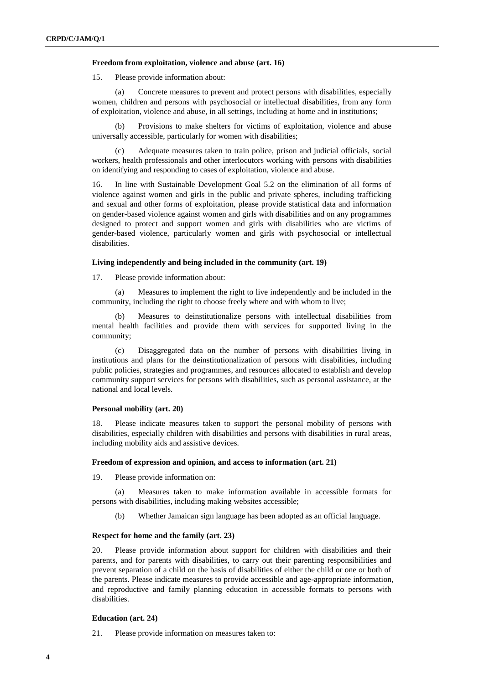## **Freedom from exploitation, violence and abuse (art. 16)**

15. Please provide information about:

(a) Concrete measures to prevent and protect persons with disabilities, especially women, children and persons with psychosocial or intellectual disabilities, from any form of exploitation, violence and abuse, in all settings, including at home and in institutions;

Provisions to make shelters for victims of exploitation, violence and abuse universally accessible, particularly for women with disabilities;

(c) Adequate measures taken to train police, prison and judicial officials, social workers, health professionals and other interlocutors working with persons with disabilities on identifying and responding to cases of exploitation, violence and abuse.

16. In line with Sustainable Development Goal 5.2 on the elimination of all forms of violence against women and girls in the public and private spheres, including trafficking and sexual and other forms of exploitation, please provide statistical data and information on gender-based violence against women and girls with disabilities and on any programmes designed to protect and support women and girls with disabilities who are victims of gender-based violence, particularly women and girls with psychosocial or intellectual disabilities.

# **Living independently and being included in the community (art. 19)**

17. Please provide information about:

(a) Measures to implement the right to live independently and be included in the community, including the right to choose freely where and with whom to live;

(b) Measures to deinstitutionalize persons with intellectual disabilities from mental health facilities and provide them with services for supported living in the community;

(c) Disaggregated data on the number of persons with disabilities living in institutions and plans for the deinstitutionalization of persons with disabilities, including public policies, strategies and programmes, and resources allocated to establish and develop community support services for persons with disabilities, such as personal assistance, at the national and local levels.

# **Personal mobility (art. 20)**

18. Please indicate measures taken to support the personal mobility of persons with disabilities, especially children with disabilities and persons with disabilities in rural areas, including mobility aids and assistive devices.

## **Freedom of expression and opinion, and access to information (art. 21)**

19. Please provide information on:

Measures taken to make information available in accessible formats for persons with disabilities, including making websites accessible;

(b) Whether Jamaican sign language has been adopted as an official language.

# **Respect for home and the family (art. 23)**

20. Please provide information about support for children with disabilities and their parents, and for parents with disabilities, to carry out their parenting responsibilities and prevent separation of a child on the basis of disabilities of either the child or one or both of the parents. Please indicate measures to provide accessible and age-appropriate information, and reproductive and family planning education in accessible formats to persons with disabilities.

# **Education (art. 24)**

21. Please provide information on measures taken to: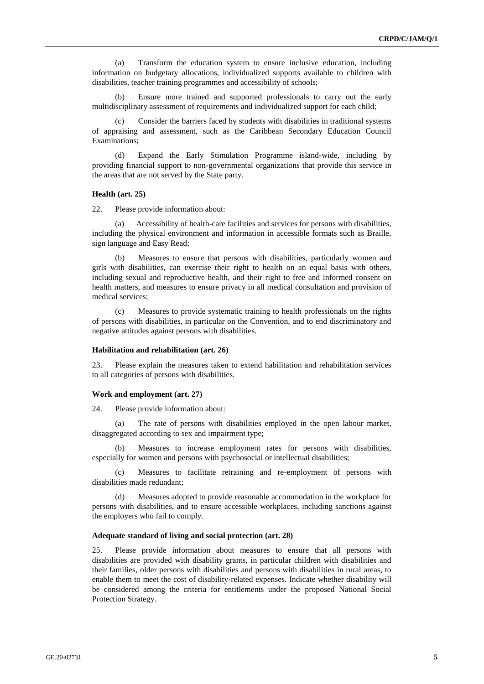(a) Transform the education system to ensure inclusive education, including information on budgetary allocations, individualized supports available to children with disabilities, teacher training programmes and accessibility of schools;

(b) Ensure more trained and supported professionals to carry out the early multidisciplinary assessment of requirements and individualized support for each child;

Consider the barriers faced by students with disabilities in traditional systems of appraising and assessment, such as the Caribbean Secondary Education Council Examinations;

(d) Expand the Early Stimulation Programme island-wide, including by providing financial support to non-governmental organizations that provide this service in the areas that are not served by the State party.

## **Health (art. 25)**

22. Please provide information about:

(a) Accessibility of health-care facilities and services for persons with disabilities, including the physical environment and information in accessible formats such as Braille, sign language and Easy Read;

(b) Measures to ensure that persons with disabilities, particularly women and girls with disabilities, can exercise their right to health on an equal basis with others, including sexual and reproductive health, and their right to free and informed consent on health matters, and measures to ensure privacy in all medical consultation and provision of medical services;

(c) Measures to provide systematic training to health professionals on the rights of persons with disabilities, in particular on the Convention, and to end discriminatory and negative attitudes against persons with disabilities.

#### **Habilitation and rehabilitation (art. 26)**

23. Please explain the measures taken to extend habilitation and rehabilitation services to all categories of persons with disabilities.

#### **Work and employment (art. 27)**

24. Please provide information about:

The rate of persons with disabilities employed in the open labour market, disaggregated according to sex and impairment type;

(b) Measures to increase employment rates for persons with disabilities, especially for women and persons with psychosocial or intellectual disabilities;

(c) Measures to facilitate retraining and re-employment of persons with disabilities made redundant;

Measures adopted to provide reasonable accommodation in the workplace for persons with disabilities, and to ensure accessible workplaces, including sanctions against the employers who fail to comply.

### **Adequate standard of living and social protection (art. 28)**

25. Please provide information about measures to ensure that all persons with disabilities are provided with disability grants, in particular children with disabilities and their families, older persons with disabilities and persons with disabilities in rural areas, to enable them to meet the cost of disability-related expenses. Indicate whether disability will be considered among the criteria for entitlements under the proposed National Social Protection Strategy.